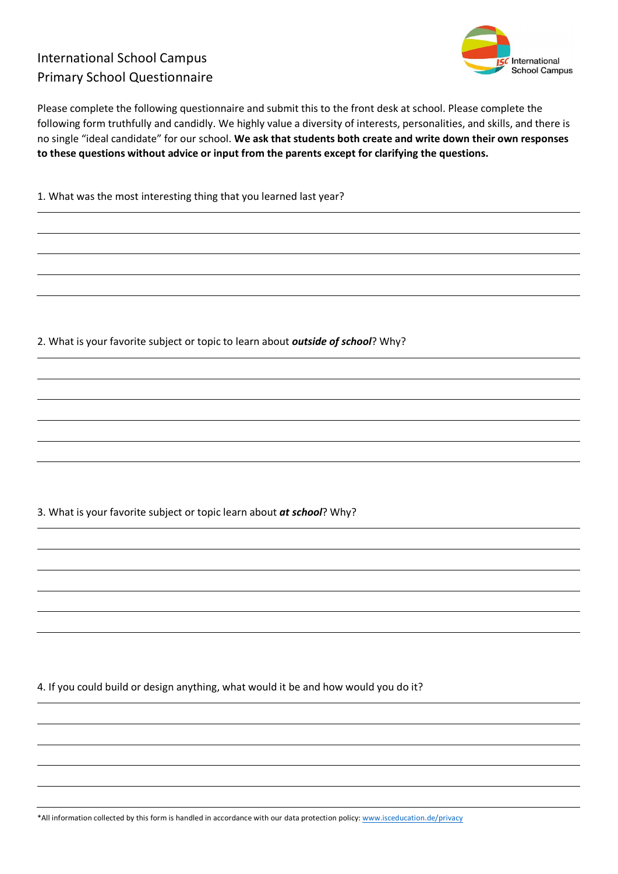## International School Campus Primary School Questionnaire



Please complete the following questionnaire and submit this to the front desk at school. Please complete the following form truthfully and candidly. We highly value a diversity of interests, personalities, and skills, and there is no single "ideal candidate" for our school. **We ask that students both create and write down their own responses to these questions without advice or input from the parents except for clarifying the questions.**

1. What was the most interesting thing that you learned last year?

2. What is your favorite subject or topic to learn about *outside of school*? Why?

3. What is your favorite subject or topic learn about *at school*? Why?

4. If you could build or design anything, what would it be and how would you do it?

\*All information collected by this form is handled in accordance with our data protection policy: www.isceducation.de/privacy